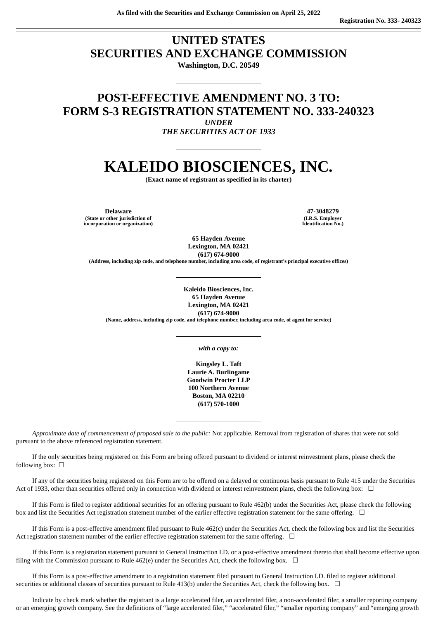### **UNITED STATES SECURITIES AND EXCHANGE COMMISSION Washington, D.C. 20549**

## **POST-EFFECTIVE AMENDMENT NO. 3 TO: FORM S-3 REGISTRATION STATEMENT NO. 333-240323**

*UNDER*

*THE SECURITIES ACT OF 1933*

# **KALEIDO BIOSCIENCES, INC.**

**(Exact name of registrant as specified in its charter)**

**Delaware 47-3048279 (State or other jurisdiction of incorporation or organization)**

**(I.R.S. Employer Identification No.)**

**65 Hayden Avenue Lexington, MA 02421 (617) 674-9000**

**(Address, including zip code, and telephone number, including area code, of registrant's principal executive offices)**

**Kaleido Biosciences, Inc. 65 Hayden Avenue Lexington, MA 02421 (617) 674-9000 (Name, address, including zip code, and telephone number, including area code, of agent for service)**

*with a copy to:*

**Kingsley L. Taft Laurie A. Burlingame Goodwin Procter LLP 100 Northern Avenue Boston, MA 02210 (617) 570-1000**

*Approximate date of commencement of proposed sale to the public:* Not applicable. Removal from registration of shares that were not sold pursuant to the above referenced registration statement.

If the only securities being registered on this Form are being offered pursuant to dividend or interest reinvestment plans, please check the following box:  $\Box$ 

If any of the securities being registered on this Form are to be offered on a delayed or continuous basis pursuant to Rule 415 under the Securities Act of 1933, other than securities offered only in connection with dividend or interest reinvestment plans, check the following box:  $\Box$ 

If this Form is filed to register additional securities for an offering pursuant to Rule 462(b) under the Securities Act, please check the following box and list the Securities Act registration statement number of the earlier effective registration statement for the same offering. □

If this Form is a post-effective amendment filed pursuant to Rule 462(c) under the Securities Act, check the following box and list the Securities Act registration statement number of the earlier effective registration statement for the same offering.  $\Box$ 

If this Form is a registration statement pursuant to General Instruction I.D. or a post-effective amendment thereto that shall become effective upon filing with the Commission pursuant to Rule 462(e) under the Securities Act, check the following box.  $\Box$ 

If this Form is a post-effective amendment to a registration statement filed pursuant to General Instruction I.D. filed to register additional securities or additional classes of securities pursuant to Rule 413(b) under the Securities Act, check the following box.  $\Box$ 

Indicate by check mark whether the registrant is a large accelerated filer, an accelerated filer, a non-accelerated filer, a smaller reporting company or an emerging growth company. See the definitions of "large accelerated filer," "accelerated filer," "smaller reporting company" and "emerging growth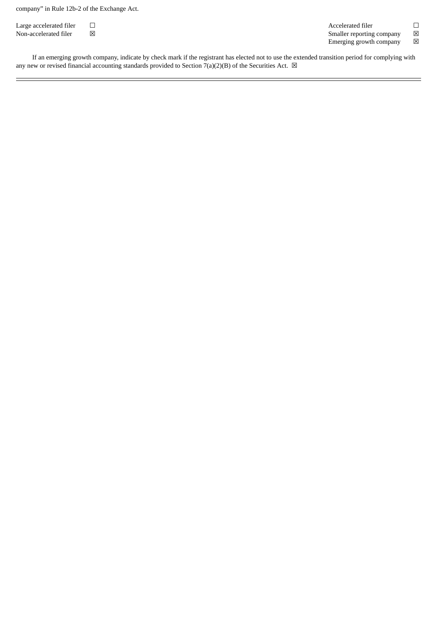company" in Rule 12b-2 of the Exchange Act.

Large accelerated filer  $□$ <br>
Non-accelerated filer  $□$ <br>
Non-accelerated filer ⊠ Smaller reporting company Emerging growth company  $\hfill \boxtimes$ 

If an emerging growth company, indicate by check mark if the registrant has elected not to use the extended transition period for complying with any new or revised financial accounting standards provided to Section  $7(a)(2)(B)$  of the Securities Act.  $\boxtimes$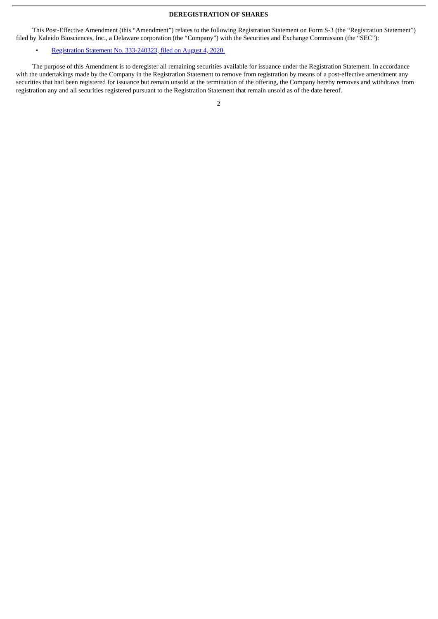#### **DEREGISTRATION OF SHARES**

This Post-Effective Amendment (this "Amendment") relates to the following Registration Statement on Form S-3 (the "Registration Statement") filed by Kaleido Biosciences, Inc., a Delaware corporation (the "Company") with the Securities and Exchange Commission (the "SEC"):

#### • Registration Statement No. [333-240323,](http://www.sec.gov/Archives/edgar/data/1751299/000119312520208865/d646578ds3.htm) filed on August 4, 2020.

The purpose of this Amendment is to deregister all remaining securities available for issuance under the Registration Statement. In accordance with the undertakings made by the Company in the Registration Statement to remove from registration by means of a post-effective amendment any securities that had been registered for issuance but remain unsold at the termination of the offering, the Company hereby removes and withdraws from registration any and all securities registered pursuant to the Registration Statement that remain unsold as of the date hereof.